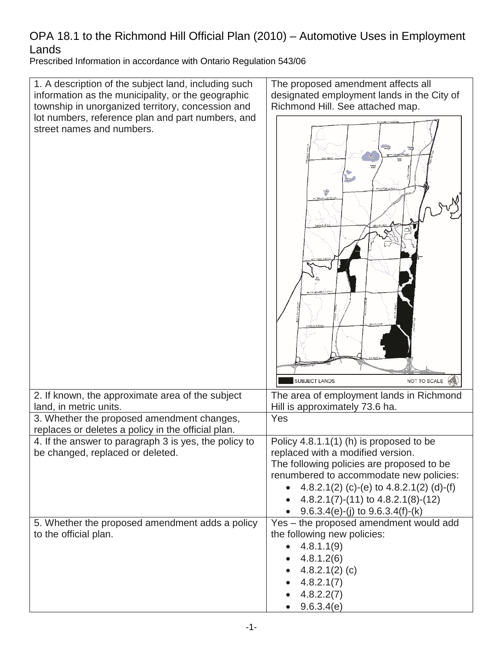Prescribed Information in accordance with Ontario Regulation 543/06 Prescribed Information in accordance with Ontario Regulation 543/06

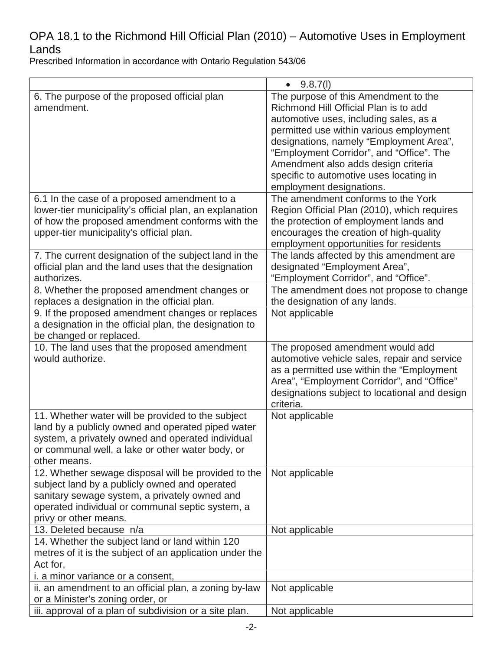|                                                         | 9.8.7(l)<br>$\bullet$                         |
|---------------------------------------------------------|-----------------------------------------------|
| 6. The purpose of the proposed official plan            | The purpose of this Amendment to the          |
| amendment.                                              | Richmond Hill Official Plan is to add         |
|                                                         | automotive uses, including sales, as a        |
|                                                         | permitted use within various employment       |
|                                                         | designations, namely "Employment Area",       |
|                                                         | "Employment Corridor", and "Office". The      |
|                                                         | Amendment also adds design criteria           |
|                                                         | specific to automotive uses locating in       |
|                                                         | employment designations.                      |
| 6.1 In the case of a proposed amendment to a            | The amendment conforms to the York            |
| lower-tier municipality's official plan, an explanation | Region Official Plan (2010), which requires   |
| of how the proposed amendment conforms with the         | the protection of employment lands and        |
| upper-tier municipality's official plan.                | encourages the creation of high-quality       |
|                                                         | employment opportunities for residents        |
| 7. The current designation of the subject land in the   | The lands affected by this amendment are      |
| official plan and the land uses that the designation    | designated "Employment Area",                 |
| authorizes.                                             | "Employment Corridor", and "Office".          |
| 8. Whether the proposed amendment changes or            | The amendment does not propose to change      |
| replaces a designation in the official plan.            | the designation of any lands.                 |
| 9. If the proposed amendment changes or replaces        | Not applicable                                |
| a designation in the official plan, the designation to  |                                               |
| be changed or replaced.                                 |                                               |
| 10. The land uses that the proposed amendment           | The proposed amendment would add              |
| would authorize.                                        | automotive vehicle sales, repair and service  |
|                                                         | as a permitted use within the "Employment     |
|                                                         | Area", "Employment Corridor", and "Office"    |
|                                                         | designations subject to locational and design |
|                                                         | criteria.                                     |
| 11. Whether water will be provided to the subject       | Not applicable                                |
| land by a publicly owned and operated piped water       |                                               |
| system, a privately owned and operated individual       |                                               |
| or communal well, a lake or other water body, or        |                                               |
| other means.                                            |                                               |
| 12. Whether sewage disposal will be provided to the     | Not applicable                                |
| subject land by a publicly owned and operated           |                                               |
| sanitary sewage system, a privately owned and           |                                               |
| operated individual or communal septic system, a        |                                               |
| privy or other means.                                   |                                               |
| 13. Deleted because n/a                                 | Not applicable                                |
| 14. Whether the subject land or land within 120         |                                               |
| metres of it is the subject of an application under the |                                               |
| Act for,                                                |                                               |
| <i>i. a minor variance or a consent,</i>                |                                               |
| ii. an amendment to an official plan, a zoning by-law   | Not applicable                                |
| or a Minister's zoning order, or                        |                                               |
|                                                         |                                               |
| iii. approval of a plan of subdivision or a site plan.  | Not applicable                                |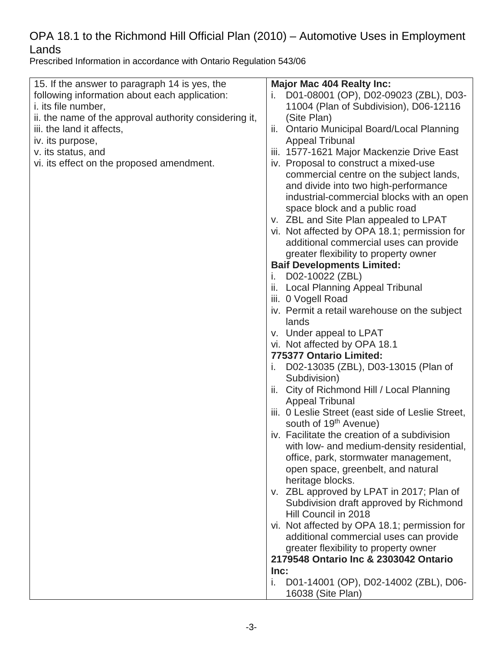| 15. If the answer to paragraph 14 is yes, the<br>following information about each application:<br><i>i.</i> its file number, | <b>Major Mac 404 Realty Inc:</b><br>D01-08001 (OP), D02-09023 (ZBL), D03-<br>11004 (Plan of Subdivision), D06-12116 |
|------------------------------------------------------------------------------------------------------------------------------|---------------------------------------------------------------------------------------------------------------------|
| ii. the name of the approval authority considering it,                                                                       | (Site Plan)                                                                                                         |
| iii. the land it affects,                                                                                                    | <b>Ontario Municipal Board/Local Planning</b><br>Ш.                                                                 |
| iv. its purpose,                                                                                                             | <b>Appeal Tribunal</b>                                                                                              |
| v. its status, and                                                                                                           | iii. 1577-1621 Major Mackenzie Drive East                                                                           |
| vi. its effect on the proposed amendment.                                                                                    | iv. Proposal to construct a mixed-use                                                                               |
|                                                                                                                              | commercial centre on the subject lands,                                                                             |
|                                                                                                                              | and divide into two high-performance                                                                                |
|                                                                                                                              | industrial-commercial blocks with an open                                                                           |
|                                                                                                                              | space block and a public road                                                                                       |
|                                                                                                                              | v. ZBL and Site Plan appealed to LPAT                                                                               |
|                                                                                                                              | vi. Not affected by OPA 18.1; permission for                                                                        |
|                                                                                                                              | additional commercial uses can provide                                                                              |
|                                                                                                                              | greater flexibility to property owner                                                                               |
|                                                                                                                              | <b>Baif Developments Limited:</b>                                                                                   |
|                                                                                                                              | D02-10022 (ZBL)<br>Ι.                                                                                               |
|                                                                                                                              | ii. Local Planning Appeal Tribunal                                                                                  |
|                                                                                                                              | iii. 0 Vogell Road                                                                                                  |
|                                                                                                                              | iv. Permit a retail warehouse on the subject                                                                        |
|                                                                                                                              | lands                                                                                                               |
|                                                                                                                              | v. Under appeal to LPAT                                                                                             |
|                                                                                                                              | vi. Not affected by OPA 18.1                                                                                        |
|                                                                                                                              | 775377 Ontario Limited:                                                                                             |
|                                                                                                                              | D02-13035 (ZBL), D03-13015 (Plan of<br>Τ.                                                                           |
|                                                                                                                              | Subdivision)                                                                                                        |
|                                                                                                                              | City of Richmond Hill / Local Planning<br>Ш.                                                                        |
|                                                                                                                              | <b>Appeal Tribunal</b>                                                                                              |
|                                                                                                                              | iii. 0 Leslie Street (east side of Leslie Street,                                                                   |
|                                                                                                                              | south of 19 <sup>th</sup> Avenue)                                                                                   |
|                                                                                                                              | iv. Facilitate the creation of a subdivision                                                                        |
|                                                                                                                              | with low- and medium-density residential,                                                                           |
|                                                                                                                              | office, park, stormwater management,                                                                                |
|                                                                                                                              | open space, greenbelt, and natural                                                                                  |
|                                                                                                                              | heritage blocks.                                                                                                    |
|                                                                                                                              | v. ZBL approved by LPAT in 2017; Plan of                                                                            |
|                                                                                                                              | Subdivision draft approved by Richmond                                                                              |
|                                                                                                                              | Hill Council in 2018                                                                                                |
|                                                                                                                              | vi. Not affected by OPA 18.1; permission for                                                                        |
|                                                                                                                              | additional commercial uses can provide                                                                              |
|                                                                                                                              | greater flexibility to property owner                                                                               |
|                                                                                                                              | 2179548 Ontario Inc & 2303042 Ontario                                                                               |
|                                                                                                                              | Inc:                                                                                                                |
|                                                                                                                              | i.<br>D01-14001 (OP), D02-14002 (ZBL), D06-                                                                         |
|                                                                                                                              | 16038 (Site Plan)                                                                                                   |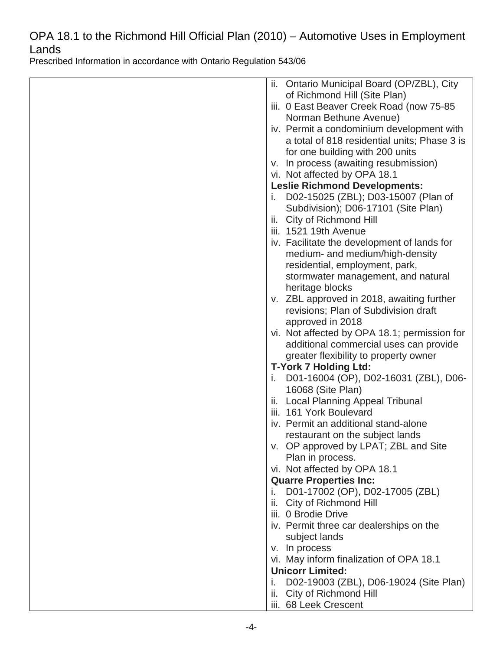| Ontario Municipal Board (OP/ZBL), City<br>ii. |
|-----------------------------------------------|
| of Richmond Hill (Site Plan)                  |
| iii. 0 East Beaver Creek Road (now 75-85      |
| Norman Bethune Avenue)                        |
| iv. Permit a condominium development with     |
| a total of 818 residential units; Phase 3 is  |
| for one building with 200 units               |
| v. In process (awaiting resubmission)         |
| vi. Not affected by OPA 18.1                  |
| <b>Leslie Richmond Developments:</b>          |
| D02-15025 (ZBL); D03-15007 (Plan of<br>Τ.     |
| Subdivision); D06-17101 (Site Plan)           |
| City of Richmond Hill<br>Ш.                   |
| iii. 1521 19th Avenue                         |
| iv. Facilitate the development of lands for   |
| medium- and medium/high-density               |
| residential, employment, park,                |
| stormwater management, and natural            |
| heritage blocks                               |
| v. ZBL approved in 2018, awaiting further     |
| revisions; Plan of Subdivision draft          |
| approved in 2018                              |
| vi. Not affected by OPA 18.1; permission for  |
| additional commercial uses can provide        |
| greater flexibility to property owner         |
| <b>T-York 7 Holding Ltd:</b>                  |
| D01-16004 (OP), D02-16031 (ZBL), D06-<br>T.   |
| 16068 (Site Plan)                             |
| <b>Local Planning Appeal Tribunal</b><br>ii.  |
| iii. 161 York Boulevard                       |
| iv. Permit an additional stand-alone          |
| restaurant on the subject lands               |
| v. OP approved by LPAT; ZBL and Site          |
| Plan in process.                              |
| vi. Not affected by OPA 18.1                  |
| <b>Quarre Properties Inc:</b>                 |
| D01-17002 (OP), D02-17005 (ZBL)<br>i.         |
| City of Richmond Hill<br>ii.                  |
| iii. 0 Brodie Drive                           |
| iv. Permit three car dealerships on the       |
| subject lands                                 |
| v. In process                                 |
| vi. May inform finalization of OPA 18.1       |
| <b>Unicorr Limited:</b>                       |
| D02-19003 (ZBL), D06-19024 (Site Plan)<br>i.  |
| City of Richmond Hill<br>Ш.                   |
| iii. 68 Leek Crescent                         |